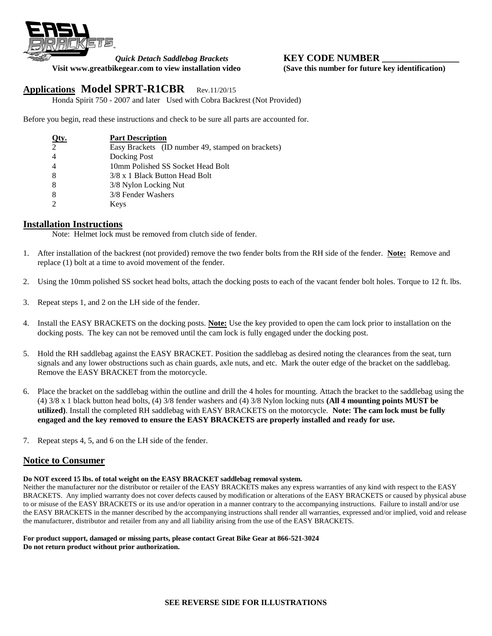

# *Quick Detach Saddlebag Brackets* **KEY CODE NUMBER**

**Visit www.greatbikegear.com to view installation video (Save this number for future key identification)**

# **Applications Model SPRT-R1CBR** Rev.11/20/15

Honda Spirit 750 - 2007 and later Used with Cobra Backrest (Not Provided)

Before you begin, read these instructions and check to be sure all parts are accounted for.

| Qty.           | <b>Part Description</b>                           |
|----------------|---------------------------------------------------|
| $\mathcal{L}$  | Easy Brackets (ID number 49, stamped on brackets) |
| $\overline{4}$ | Docking Post                                      |
| $\overline{4}$ | 10mm Polished SS Socket Head Bolt                 |
| -8             | 3/8 x 1 Black Button Head Bolt                    |
| -8             | 3/8 Nylon Locking Nut                             |
| 8              | 3/8 Fender Washers                                |
|                | Keys                                              |

## **Installation Instructions**

Note: Helmet lock must be removed from clutch side of fender.

- 1. After installation of the backrest (not provided) remove the two fender bolts from the RH side of the fender. **Note:** Remove and replace (1) bolt at a time to avoid movement of the fender.
- 2. Using the 10mm polished SS socket head bolts, attach the docking posts to each of the vacant fender bolt holes. Torque to 12 ft. lbs.
- 3. Repeat steps 1, and 2 on the LH side of the fender.
- 4. Install the EASY BRACKETS on the docking posts. **Note:** Use the key provided to open the cam lock prior to installation on the docking posts. The key can not be removed until the cam lock is fully engaged under the docking post.
- 5. Hold the RH saddlebag against the EASY BRACKET. Position the saddlebag as desired noting the clearances from the seat, turn signals and any lower obstructions such as chain guards, axle nuts, and etc. Mark the outer edge of the bracket on the saddlebag. Remove the EASY BRACKET from the motorcycle.
- 6. Place the bracket on the saddlebag within the outline and drill the 4 holes for mounting. Attach the bracket to the saddlebag using the (4) 3/8 x 1 black button head bolts, (4) 3/8 fender washers and (4) 3/8 Nylon locking nuts **(All 4 mounting points MUST be utilized)**. Install the completed RH saddlebag with EASY BRACKETS on the motorcycle. **Note: The cam lock must be fully engaged and the key removed to ensure the EASY BRACKETS are properly installed and ready for use.**
- 7. Repeat steps 4, 5, and 6 on the LH side of the fender.

## **Notice to Consumer**

### **Do NOT exceed 15 lbs. of total weight on the EASY BRACKET saddlebag removal system.**

Neither the manufacturer nor the distributor or retailer of the EASY BRACKETS makes any express warranties of any kind with respect to the EASY BRACKETS. Any implied warranty does not cover defects caused by modification or alterations of the EASY BRACKETS or caused by physical abuse to or misuse of the EASY BRACKETS or its use and/or operation in a manner contrary to the accompanying instructions. Failure to install and/or use the EASY BRACKETS in the manner described by the accompanying instructions shall render all warranties, expressed and/or implied, void and release the manufacturer, distributor and retailer from any and all liability arising from the use of the EASY BRACKETS.

#### **For product support, damaged or missing parts, please contact Great Bike Gear at 866-521-3024 Do not return product without prior authorization.**